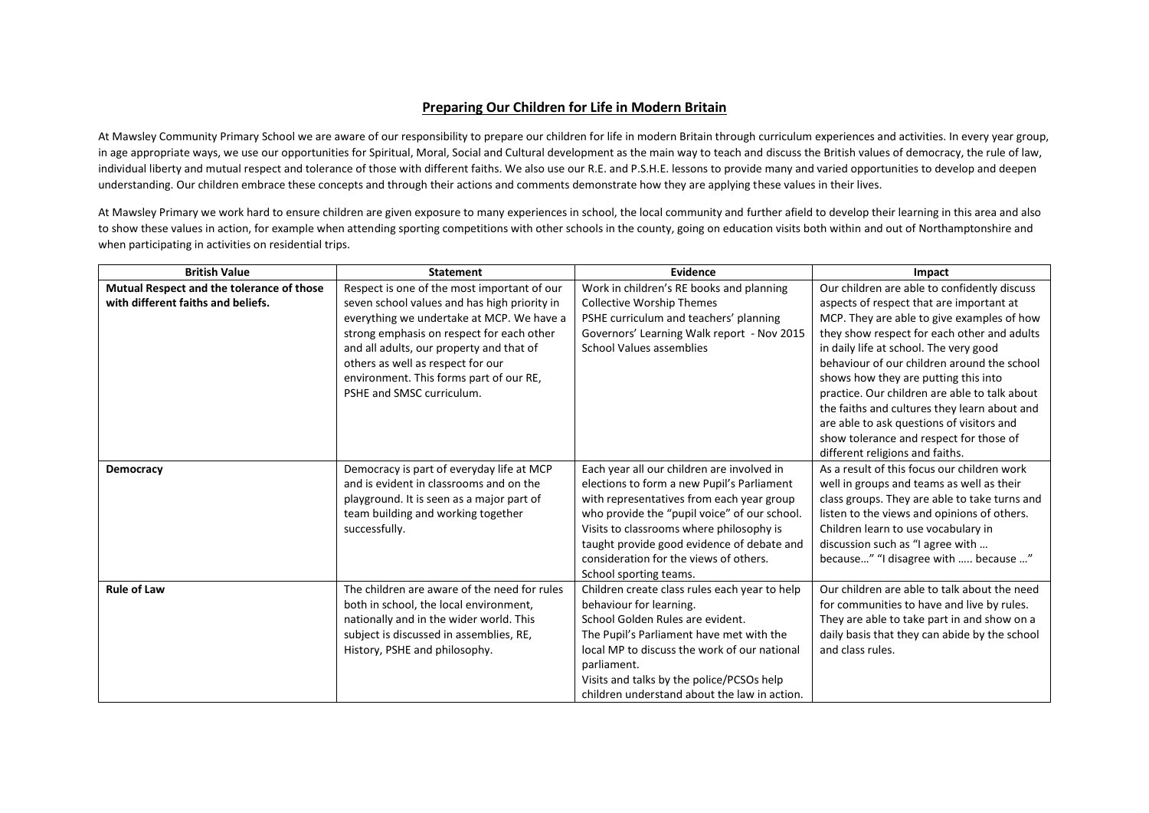## **Preparing Our Children for Life in Modern Britain**

At Mawsley Community Primary School we are aware of our responsibility to prepare our children for life in modern Britain through curriculum experiences and activities. In every year group, in age appropriate ways, we use our opportunities for Spiritual, Moral, Social and Cultural development as the main way to teach and discuss the British values of democracy, the rule of law, individual liberty and mutual respect and tolerance of those with different faiths. We also use our R.E. and P.S.H.E. lessons to provide many and varied opportunities to develop and deepen understanding. Our children embrace these concepts and through their actions and comments demonstrate how they are applying these values in their lives.

At Mawsley Primary we work hard to ensure children are given exposure to many experiences in school, the local community and further afield to develop their learning in this area and also to show these values in action, for example when attending sporting competitions with other schools in the county, going on education visits both within and out of Northamptonshire and when participating in activities on residential trips.

| <b>British Value</b>                      | <b>Statement</b>                             | Evidence                                      | Impact                                        |
|-------------------------------------------|----------------------------------------------|-----------------------------------------------|-----------------------------------------------|
| Mutual Respect and the tolerance of those | Respect is one of the most important of our  | Work in children's RE books and planning      | Our children are able to confidently discuss  |
| with different faiths and beliefs.        | seven school values and has high priority in | <b>Collective Worship Themes</b>              | aspects of respect that are important at      |
|                                           | everything we undertake at MCP. We have a    | PSHE curriculum and teachers' planning        | MCP. They are able to give examples of how    |
|                                           | strong emphasis on respect for each other    | Governors' Learning Walk report - Nov 2015    | they show respect for each other and adults   |
|                                           | and all adults, our property and that of     | <b>School Values assemblies</b>               | in daily life at school. The very good        |
|                                           | others as well as respect for our            |                                               | behaviour of our children around the school   |
|                                           | environment. This forms part of our RE,      |                                               | shows how they are putting this into          |
|                                           | PSHE and SMSC curriculum.                    |                                               | practice. Our children are able to talk about |
|                                           |                                              |                                               | the faiths and cultures they learn about and  |
|                                           |                                              |                                               | are able to ask questions of visitors and     |
|                                           |                                              |                                               | show tolerance and respect for those of       |
|                                           |                                              |                                               | different religions and faiths.               |
| Democracy                                 | Democracy is part of everyday life at MCP    | Each year all our children are involved in    | As a result of this focus our children work   |
|                                           | and is evident in classrooms and on the      | elections to form a new Pupil's Parliament    | well in groups and teams as well as their     |
|                                           | playground. It is seen as a major part of    | with representatives from each year group     | class groups. They are able to take turns and |
|                                           | team building and working together           | who provide the "pupil voice" of our school.  | listen to the views and opinions of others.   |
|                                           | successfully.                                | Visits to classrooms where philosophy is      | Children learn to use vocabulary in           |
|                                           |                                              | taught provide good evidence of debate and    | discussion such as "I agree with              |
|                                           |                                              | consideration for the views of others.        | because" "I disagree with  because "          |
|                                           |                                              | School sporting teams.                        |                                               |
| <b>Rule of Law</b>                        | The children are aware of the need for rules | Children create class rules each year to help | Our children are able to talk about the need  |
|                                           | both in school, the local environment,       | behaviour for learning.                       | for communities to have and live by rules.    |
|                                           | nationally and in the wider world. This      | School Golden Rules are evident.              | They are able to take part in and show on a   |
|                                           | subject is discussed in assemblies, RE,      | The Pupil's Parliament have met with the      | daily basis that they can abide by the school |
|                                           | History, PSHE and philosophy.                | local MP to discuss the work of our national  | and class rules.                              |
|                                           |                                              | parliament.                                   |                                               |
|                                           |                                              | Visits and talks by the police/PCSOs help     |                                               |
|                                           |                                              | children understand about the law in action.  |                                               |